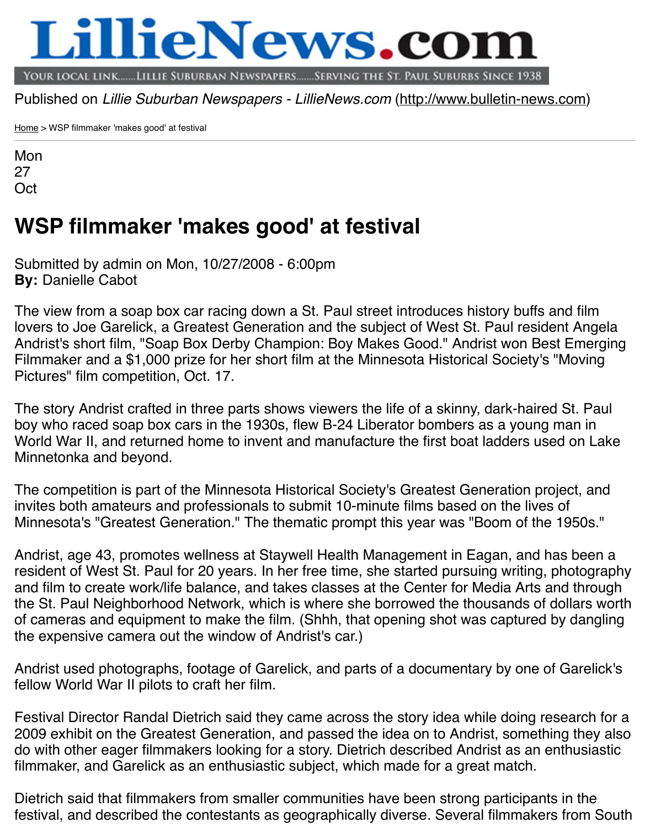Mon 27 **Oct** 

## **[WS](http://www.bulletin-news.com/)P filmmaker 'makes good' at festi[val](http://www.bulletin-news.com/)**

**By:** Danielle Cabot Submitted by admin on Mon, 10/27/2008 - 6:00pm

The view from a soap box car racing down a St. Paul street introduces history buffs and film lovers to Joe Garelick, a Greatest Generation and the subject of West St. Paul resident Angeland Angeland Angela Andrist's short film, "Soap Box Derby Champion: Boy Makes Good." Andrist won Best Filmmaker and a \$1,000 prize for her short film at the Minnesota Historical Society's Pictures" film competition, Oct. 17.

The story Andrist crafted in three parts shows viewers the life of a skinny, dark-haired boy who raced soap box cars in the 1930s, flew B-24 Liberator bombers as a young World War II, and returned home to invent and manufacture the first boat ladders use Minnetonka and beyond.

The competition is part of the Minnesota Historical Society's Greatest Generation pro invites both amateurs and professionals to submit 10-minute films based on the lives Minnesota's "Greatest Generation." The thematic prompt this year was "Boom of the

Andrist, age 43, promotes wellness at Staywell Health Management in Eagan, and h resident of West St. Paul for 20 years. In her free time, she started pursuing writing, and film to create work/life balance, and takes classes at the Center for Media Arts a the St. Paul Neighborhood Network, which is where she borrowed the thousands of dollars worth worth worth worth worth worth worth worth worth worth worth worth worth worth worth worth worth worth worth worth worth worth wo of cameras and equipment to make the film. (Shhh, that opening shot was captured by the expensive camera out the window of Andrist's car.)

Andrist used photographs, footage of Garelick, and parts of a documentary by one of fellow World War II pilots to craft her film.

Festival Director Randal Dietrich said they came across the story idea while doing re 2009 exhibit on the Greatest Generation, and passed the idea on to Andrist, somethi do with other eager filmmakers looking for a story. Dietrich described Andrist as an e filmmaker, and Garelick as an enthusiastic subject, which made for a great match.

Dietrich said that filmmakers from smaller communities have been strong participants festival, and described the contestants as geographically diverse. Several filmmakers